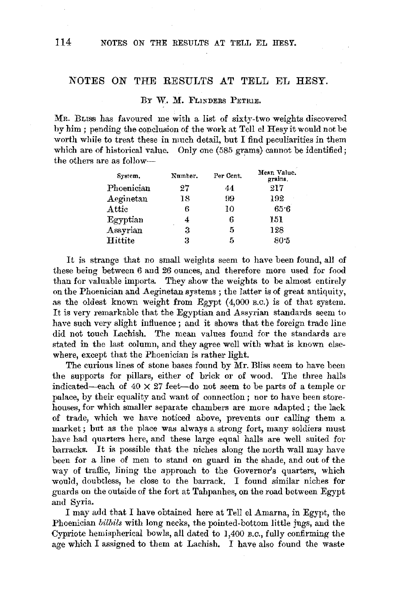# NOTES ON THE RESULTS AT TELL EL HESY.

### BY W. M. FLINDERS PETRIE.

MR. BLISS has favoured me with a list of sixty-two weights discovered by him ; pending the conclusion of the work at Tell el Hesy it would not be worth while to treat these in much detail, but I find peculiarities in them which are of historical value. Only one (585 grams) cannot be identified; the others are as follow-

| System.    | Number. | Per Cent. | Mean Value.<br>grains. |
|------------|---------|-----------|------------------------|
| Phoenician | 27      | 44        | 217                    |
| Aeginetan  | 18      | 99        | 192                    |
| Attic      | 6       | 10        | 65.6                   |
| Egyptian   | 4       | 6         | 151                    |
| Assyrian   | з       | 5         | 128                    |
| Hittite    | 3       | 5         | 80.5                   |

It is strange that no small weights seem to have been found, all of these being between *6* and 26 ounces, and therefore more used for food than for valuable imports. They show the weights to be almost entirely on the Phoenician and Aeginetan systems; the latter is of great antiquity, as the oldest known weight from Egypt (4,000 B.c.) is of that system. It is very remarkable that the Egyptian and Assyrian standards seem to have such very slight influence ; and it shows that the foreign trade line did not touch Lachish. The mean values found for the standards are stated in the last column, and they agree well with what is known elsewhere, except that the Phoenician is rather light.

The curious lines of stone bases found by Mr. Bliss seem to have been the supports for pillars, either of brick or of wood, The three halls indicated-each of  $40 \times 27$  feet-do not seem to be parts of a temple or palace, by their equality and want of connection; nor to have been storehouses, for which smaller separate chambers are more adapted ; the lack of trade, which we have noticed above, prevents our calling them a market; but as the place was always a strong fort, many soldiers must have had quarters here, and these large equal halls are well suited for barracks. It is possible that the niches along the north wall may have been for a line of men to stand on guard in the shade, and out of the way of traffic, lining the approach to the Governor's quarters, which would, doubtless, be close to the barrack. I found similar niches for guards on the outside of the fort at Tahpanhes, on the road between Egypt and Syria.

I may add that I have obtained here at Tell el Amarna, in Egypt, the Phoenician *bilbils* with long necks, the pointed-bottom little jugs, and the Cypriote hemispherical bowls, all dated to I,400 *B.c.,* fully confirming the age which I assigned to them at Lachish. I have also found the waste